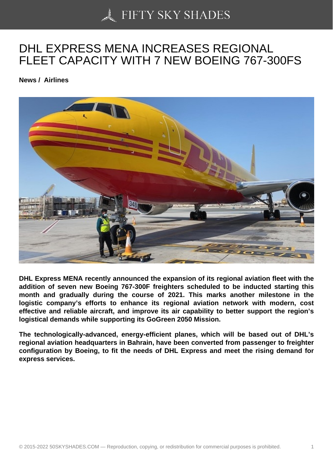## [DHL EXPRESS MENA](https://50skyshades.com) INCREASES REGIONAL FLEET CAPACITY WITH 7 NEW BOEING 767-300FS

News / Airlines

DHL Express MENA recently announced the expansion of its regional aviation fleet with the addition of seven new Boeing 767-300F freighters scheduled to be inducted starting this month and gradually during the course of 2021. This marks another milestone in the logistic company's efforts to enhance its regional aviation network with modern, cost effective and reliable aircraft, and improve its air capability to better support the region's logistical demands while supporting its GoGreen 2050 Mission.

The technologically-advanced, energy-efficient planes, which will be based out of DHL's regional aviation headquarters in Bahrain, have been converted from passenger to freighter configuration by Boeing, to fit the needs of DHL Express and meet the rising demand for express services.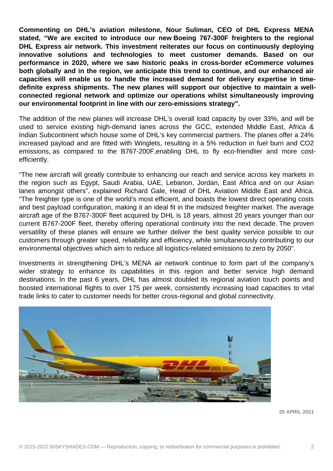**Commenting on DHL's aviation milestone, Nour Suliman, CEO of DHL Express MENA stated, "We are excited to introduce our new Boeing 767-300F freighters to the regional DHL Express air network. This investment reiterates our focus on continuously deploying innovative solutions and technologies to meet customer demands. Based on our performance in 2020, where we saw historic peaks in cross-border eCommerce volumes both globally and in the region, we anticipate this trend to continue, and our enhanced air capacities will enable us to handle the increased demand for delivery expertise in timedefinite express shipments. The new planes will support our objective to maintain a wellconnected regional network and optimize our operations whilst simultaneously improving our environmental footprint in line with our zero-emissions strategy".**

The addition of the new planes will increase DHL's overall load capacity by over 33%, and will be used to service existing high-demand lanes across the GCC, extended Middle East, Africa & Indian Subcontinent which house some of DHL's key commercial partners. The planes offer a 24% increased payload and are fitted with Winglets, resulting in a 5% reduction in fuel burn and CO2 emissions, as compared to the B767-200F,enabling DHL to fly eco-friendlier and more costefficiently.

"The new aircraft will greatly contribute to enhancing our reach and service across key markets in the region such as Egypt, Saudi Arabia, UAE, Lebanon, Jordan, East Africa and on our Asian lanes amongst others", explained Richard Gale, Head of DHL Aviation Middle East and Africa. "The freighter type is one of the world's most efficient, and boasts the lowest direct operating costs and best payload configuration, making it an ideal fit in the midsized freighter market. The average aircraft age of the B767-300F fleet acquired by DHL is 18 years, almost 20 years younger than our current B767-200F fleet, thereby offering operational continuity into the next decade. The proven versatility of these planes will ensure we further deliver the best quality service possible to our customers through greater speed, reliability and efficiency, while simultaneously contributing to our environmental objectives which aim to reduce all logistics-related emissions to zero by 2050".

Investments in strengthening DHL's MENA air network continue to form part of the company's wider strategy to enhance its capabilities in this region and better service high demand destinations. In the past 6 years, DHL has almost doubled its regional aviation touch points and boosted international flights to over 175 per week, consistently increasing load capacities to vital trade links to cater to customer needs for better cross-regional and global connectivity.



**25 APRIL 2021**